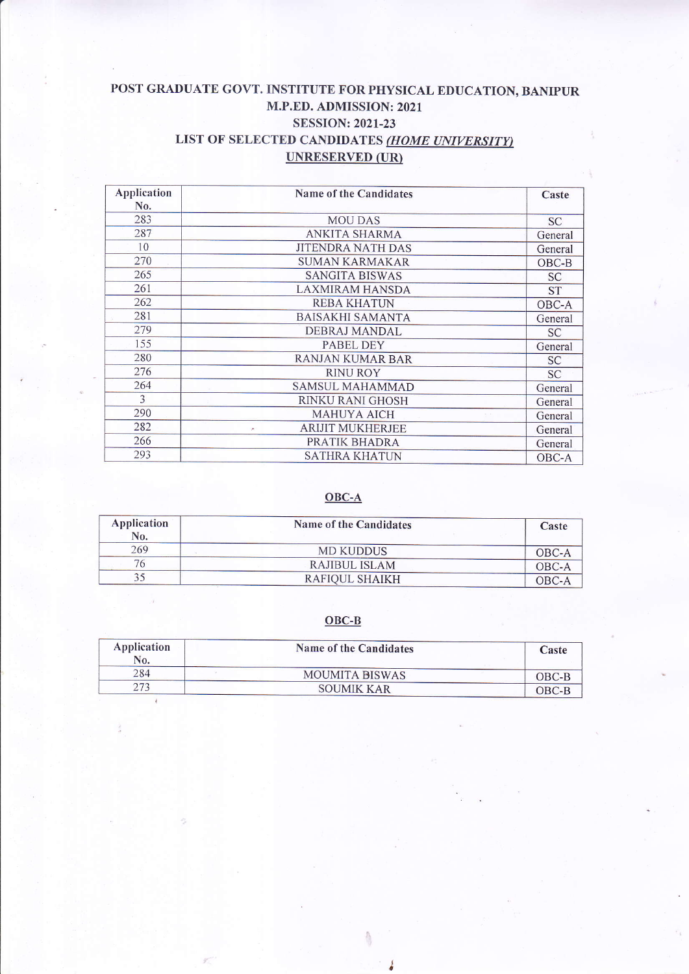# POST GRADUATE GOVT. INSTITUTE FOR PHYSICAL EDUCATION, BANIPUR M.P.ED. ADMISSION: 2021 SESSION:2021-23 LIST OF SELECTED CANDIDATES (HOME UNIVERSITY) UNRESERVED (UR)

| Application<br>No. | Name of the Candidates       | Caste     |
|--------------------|------------------------------|-----------|
| 283                | <b>MOU DAS</b>               | <b>SC</b> |
| 287                | ANKITA SHARMA                | General   |
| 10                 | <b>JITENDRA NATH DAS</b>     | General   |
| 270                | <b>SUMAN KARMAKAR</b>        | $OBC-B$   |
| 265                | <b>SANGITA BISWAS</b>        | <b>SC</b> |
| 261                | <b>LAXMIRAM HANSDA</b>       | <b>ST</b> |
| 262                | <b>REBA KHATUN</b>           | OBC-A     |
| 281                | BAISAKHI SAMANTA             | General   |
| 279                | DEBRAJ MANDAL                | <b>SC</b> |
| 155                | <b>PABEL DEY</b>             | General   |
| 280                | RANJAN KUMAR BAR             | <b>SC</b> |
| 276                | <b>RINU ROY</b>              | <b>SC</b> |
| 264                | <b>SAMSUL MAHAMMAD</b>       | General   |
| 3                  | RINKU RANI GHOSH             | General   |
| 290                | <b>MAHUYA AICH</b>           | General   |
| 282                | <b>ARIJIT MUKHERJEE</b><br>۸ | General   |
| 266                | PRATIK BHADRA                | General   |
| 293                | <b>SATHRA KHATUN</b>         | OBC-A     |

## OBC-A

| Application<br>No. | Name of the Candidates | Caste   |
|--------------------|------------------------|---------|
| 269                | <b>MD KUDDUS</b>       | OBC-A   |
| 76                 | RAJIBUL ISLAM          | OBC-A   |
| 35                 | RAFIOUL SHAIKH         | $OBC-A$ |

### OBC-B

| Application<br>No. | Name of the Candidates | Caste   |
|--------------------|------------------------|---------|
| 284                | <b>MOUMITA BISWAS</b>  | $OBC-B$ |
| 273                | <b>SOUMIK KAR</b>      | $OBC-B$ |

â